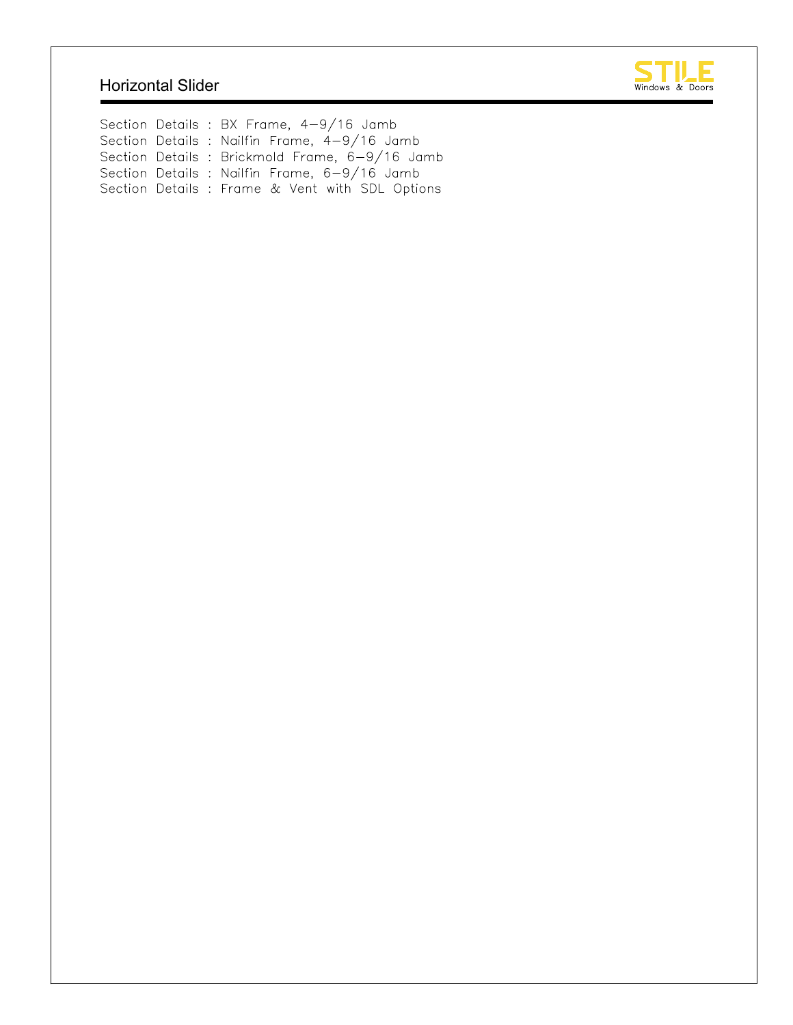### Horizontal Slider



Section Details : BX Frame, 4-9/16 Jamb Section Details : Nailfin Frame, 4-9/16 Jamb Section Details : Brickmold Frame, 6-9/16 Jamb Section Details : Nailfin Frame, 6-9/16 Jamb Section Details : Frame & Vent with SDL Options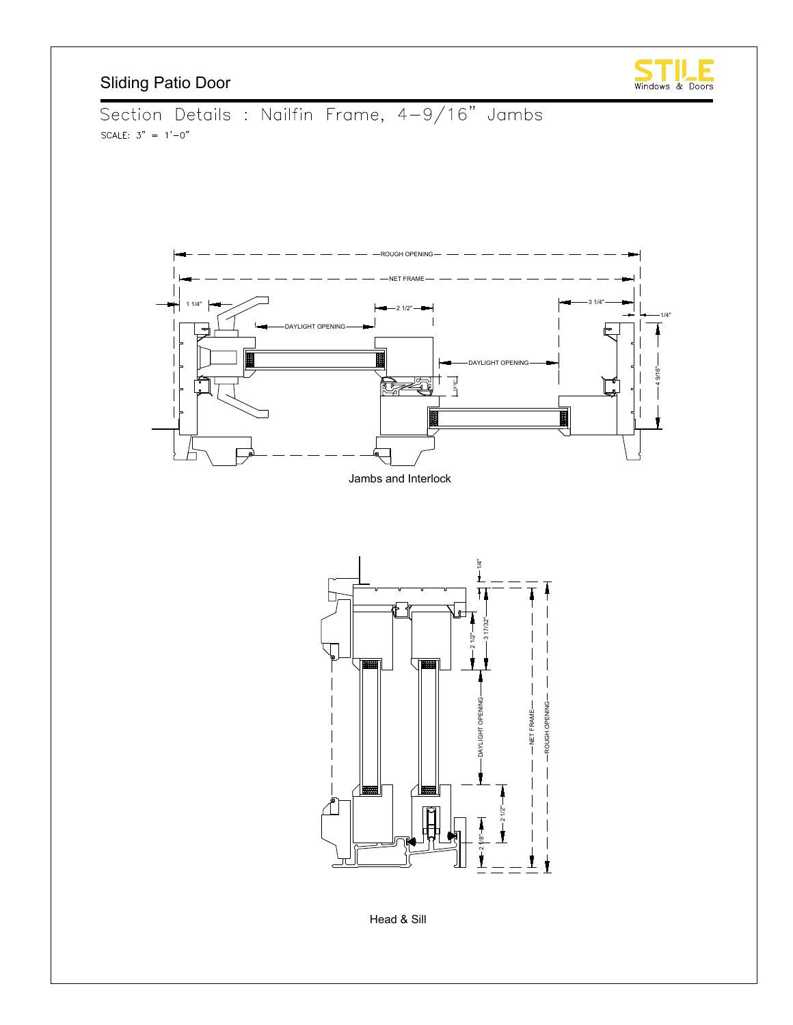



Head & Sill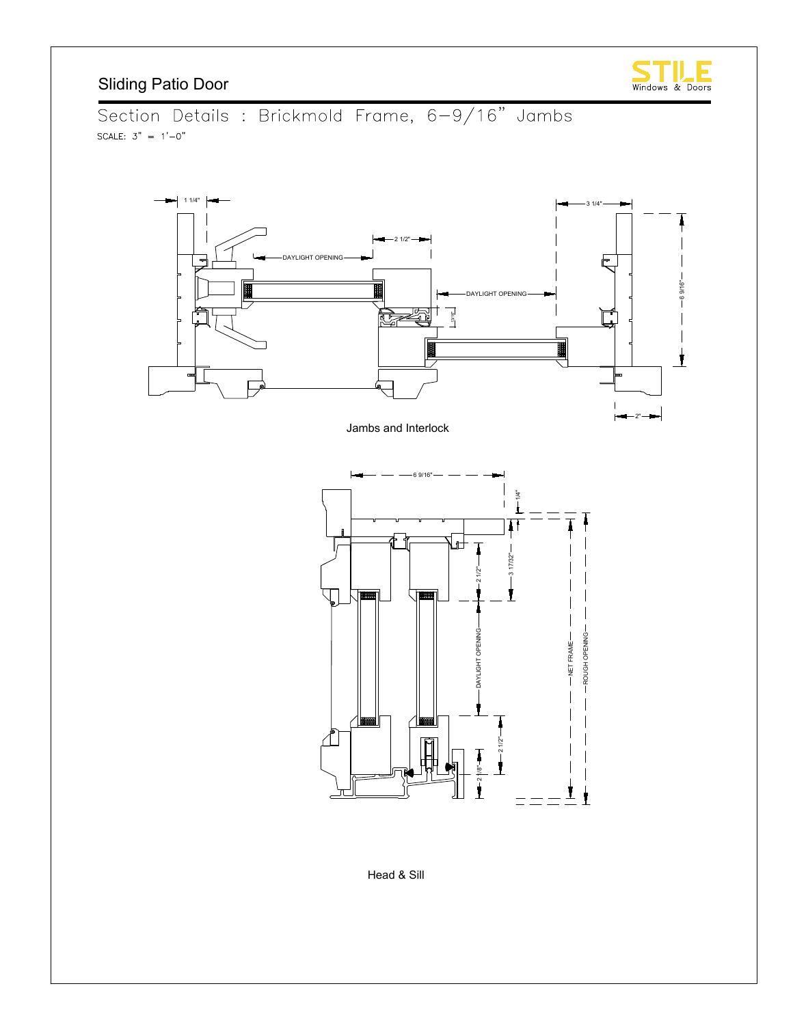

Section Details : Brickmold Frame, 6-9/16" Jambs SCALE:  $3" = 1'-0"$ 



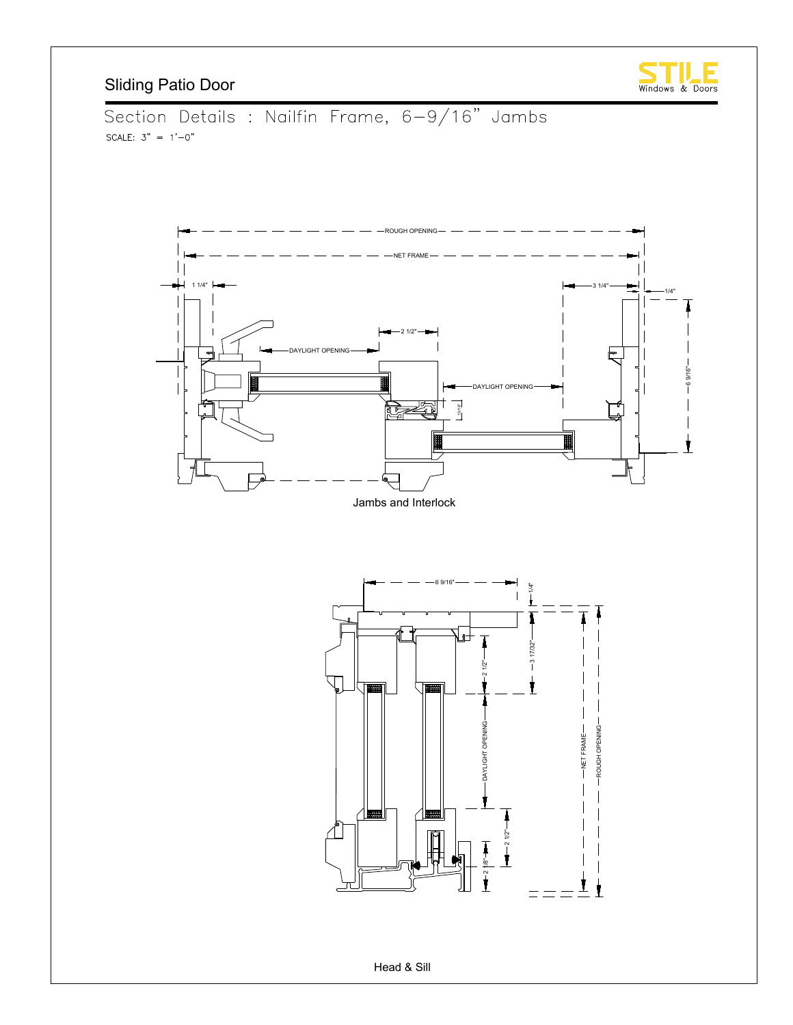







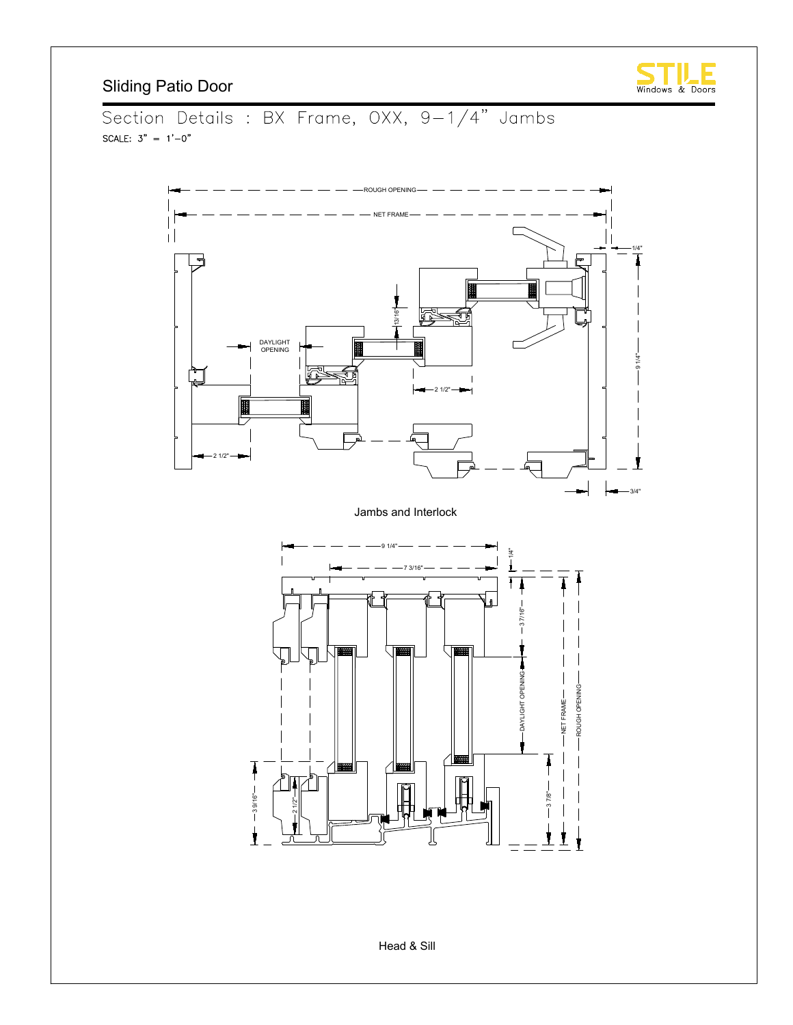

Section Details : BX Frame, OXX, 9-1/4" Jambs SCALE:  $3" = 1'-0"$ 

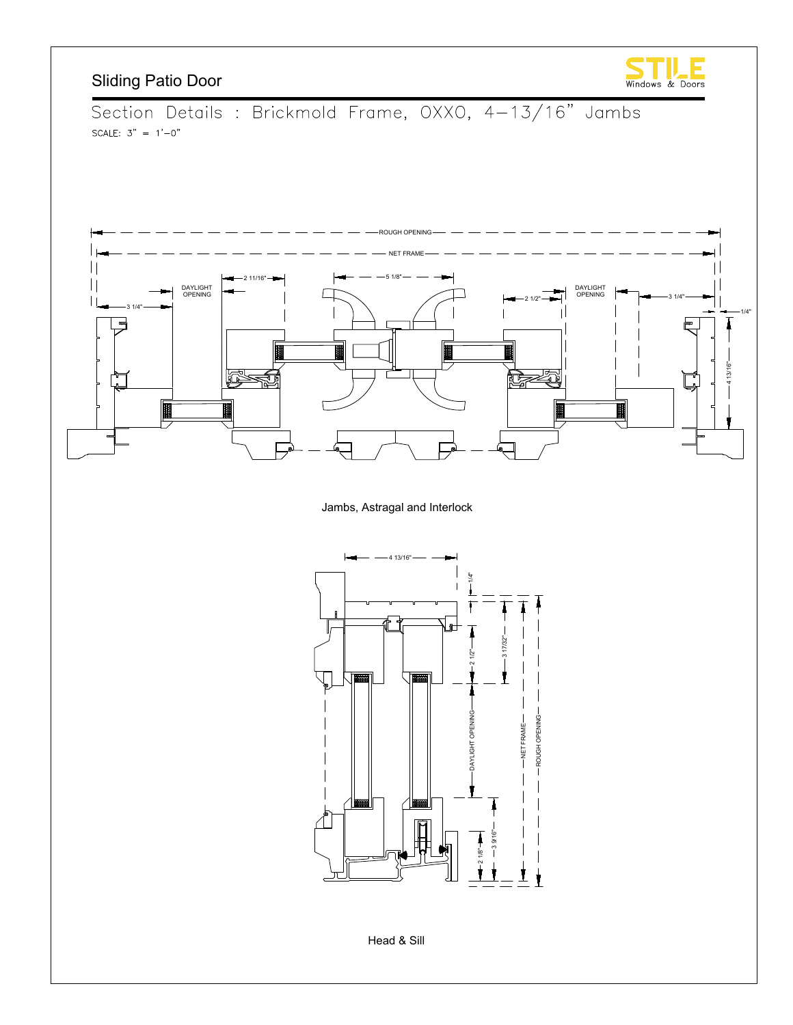

Section Details : Brickmold Frame, OXXO, 4-13/16" Jambs SCALE:  $3" = 1'-0"$